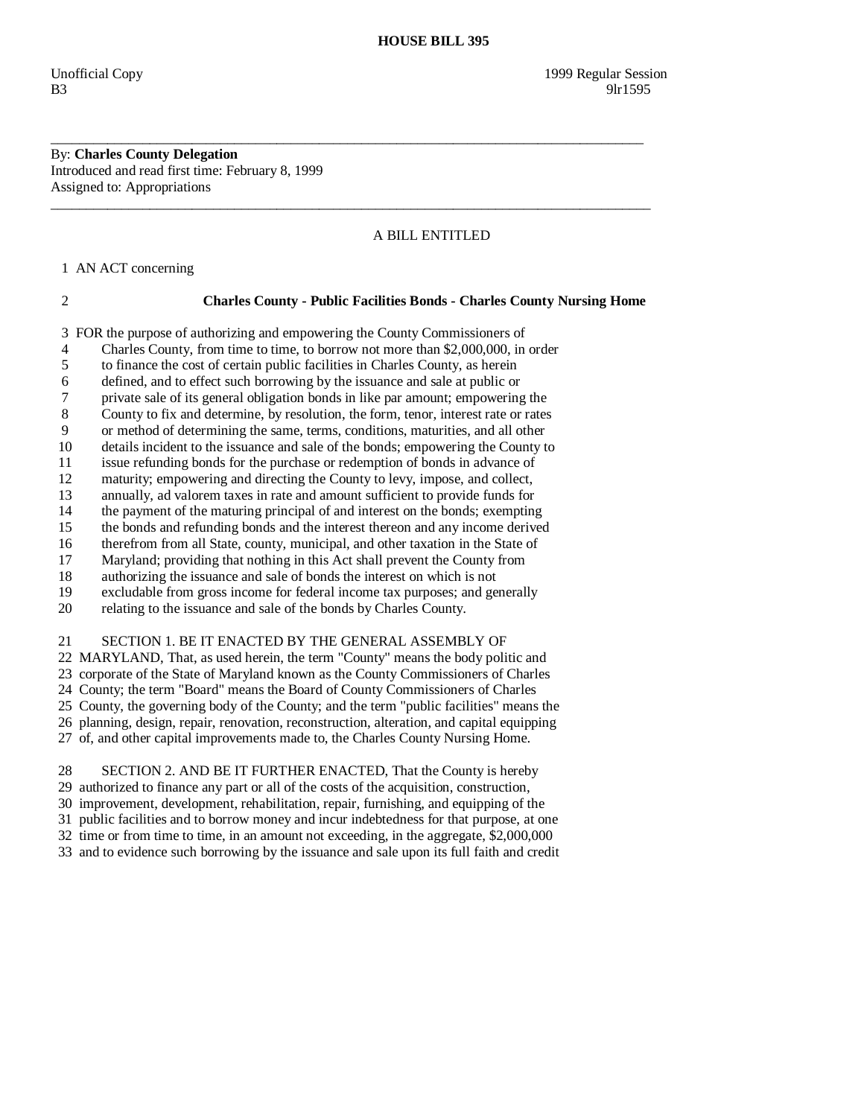By: **Charles County Delegation**  Introduced and read first time: February 8, 1999 Assigned to: Appropriations

# A BILL ENTITLED

1 AN ACT concerning

## 2 **Charles County - Public Facilities Bonds - Charles County Nursing Home**

3 FOR the purpose of authorizing and empowering the County Commissioners of

4 Charles County, from time to time, to borrow not more than \$2,000,000, in order

\_\_\_\_\_\_\_\_\_\_\_\_\_\_\_\_\_\_\_\_\_\_\_\_\_\_\_\_\_\_\_\_\_\_\_\_\_\_\_\_\_\_\_\_\_\_\_\_\_\_\_\_\_\_\_\_\_\_\_\_\_\_\_\_\_\_\_\_\_\_\_\_\_\_\_\_\_\_\_\_\_\_\_\_

 $\overline{\phantom{a}}$  ,  $\overline{\phantom{a}}$  ,  $\overline{\phantom{a}}$  ,  $\overline{\phantom{a}}$  ,  $\overline{\phantom{a}}$  ,  $\overline{\phantom{a}}$  ,  $\overline{\phantom{a}}$  ,  $\overline{\phantom{a}}$  ,  $\overline{\phantom{a}}$  ,  $\overline{\phantom{a}}$  ,  $\overline{\phantom{a}}$  ,  $\overline{\phantom{a}}$  ,  $\overline{\phantom{a}}$  ,  $\overline{\phantom{a}}$  ,  $\overline{\phantom{a}}$  ,  $\overline{\phantom{a}}$ 

5 to finance the cost of certain public facilities in Charles County, as herein

6 defined, and to effect such borrowing by the issuance and sale at public or

7 private sale of its general obligation bonds in like par amount; empowering the

8 County to fix and determine, by resolution, the form, tenor, interest rate or rates

9 or method of determining the same, terms, conditions, maturities, and all other

10 details incident to the issuance and sale of the bonds; empowering the County to

11 issue refunding bonds for the purchase or redemption of bonds in advance of

12 maturity; empowering and directing the County to levy, impose, and collect,

13 annually, ad valorem taxes in rate and amount sufficient to provide funds for

14 the payment of the maturing principal of and interest on the bonds; exempting<br>15 the bonds and refunding bonds and the interest thereon and any income derived

the bonds and refunding bonds and the interest thereon and any income derived

16 therefrom from all State, county, municipal, and other taxation in the State of

17 Maryland; providing that nothing in this Act shall prevent the County from

18 authorizing the issuance and sale of bonds the interest on which is not

19 excludable from gross income for federal income tax purposes; and generally

20 relating to the issuance and sale of the bonds by Charles County.

21 SECTION 1. BE IT ENACTED BY THE GENERAL ASSEMBLY OF

22 MARYLAND, That, as used herein, the term "County" means the body politic and

23 corporate of the State of Maryland known as the County Commissioners of Charles

24 County; the term "Board" means the Board of County Commissioners of Charles

25 County, the governing body of the County; and the term "public facilities" means the

 26 planning, design, repair, renovation, reconstruction, alteration, and capital equipping 27 of, and other capital improvements made to, the Charles County Nursing Home.

28 SECTION 2. AND BE IT FURTHER ENACTED, That the County is hereby

29 authorized to finance any part or all of the costs of the acquisition, construction,

30 improvement, development, rehabilitation, repair, furnishing, and equipping of the

31 public facilities and to borrow money and incur indebtedness for that purpose, at one

32 time or from time to time, in an amount not exceeding, in the aggregate, \$2,000,000

33 and to evidence such borrowing by the issuance and sale upon its full faith and credit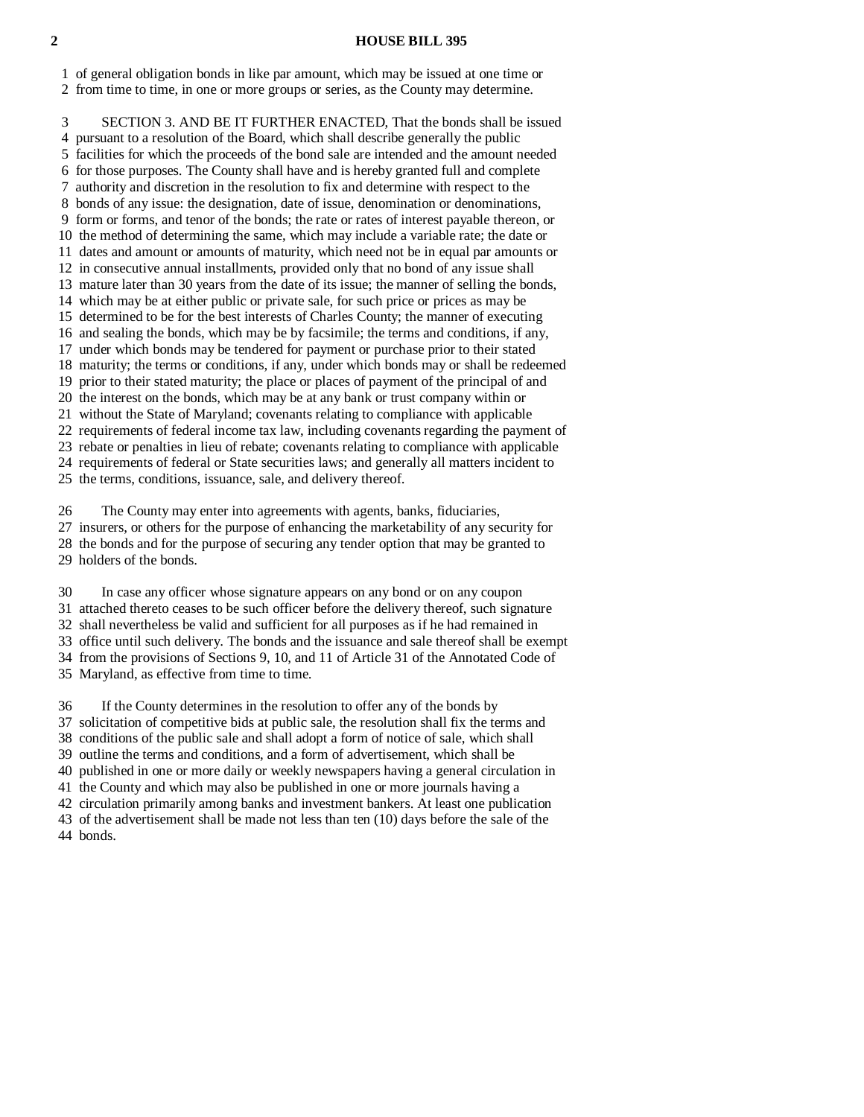#### **2 HOUSE BILL 395**

1 of general obligation bonds in like par amount, which may be issued at one time or

2 from time to time, in one or more groups or series, as the County may determine.

 3 SECTION 3. AND BE IT FURTHER ENACTED, That the bonds shall be issued 4 pursuant to a resolution of the Board, which shall describe generally the public 5 facilities for which the proceeds of the bond sale are intended and the amount needed 6 for those purposes. The County shall have and is hereby granted full and complete 7 authority and discretion in the resolution to fix and determine with respect to the 8 bonds of any issue: the designation, date of issue, denomination or denominations, 9 form or forms, and tenor of the bonds; the rate or rates of interest payable thereon, or 10 the method of determining the same, which may include a variable rate; the date or 11 dates and amount or amounts of maturity, which need not be in equal par amounts or 12 in consecutive annual installments, provided only that no bond of any issue shall 13 mature later than 30 years from the date of its issue; the manner of selling the bonds, 14 which may be at either public or private sale, for such price or prices as may be 15 determined to be for the best interests of Charles County; the manner of executing 16 and sealing the bonds, which may be by facsimile; the terms and conditions, if any, 17 under which bonds may be tendered for payment or purchase prior to their stated 18 maturity; the terms or conditions, if any, under which bonds may or shall be redeemed 19 prior to their stated maturity; the place or places of payment of the principal of and 20 the interest on the bonds, which may be at any bank or trust company within or 21 without the State of Maryland; covenants relating to compliance with applicable 22 requirements of federal income tax law, including covenants regarding the payment of 23 rebate or penalties in lieu of rebate; covenants relating to compliance with applicable 24 requirements of federal or State securities laws; and generally all matters incident to 25 the terms, conditions, issuance, sale, and delivery thereof.

 26 The County may enter into agreements with agents, banks, fiduciaries, 27 insurers, or others for the purpose of enhancing the marketability of any security for 28 the bonds and for the purpose of securing any tender option that may be granted to 29 holders of the bonds.

 30 In case any officer whose signature appears on any bond or on any coupon 31 attached thereto ceases to be such officer before the delivery thereof, such signature 32 shall nevertheless be valid and sufficient for all purposes as if he had remained in 33 office until such delivery. The bonds and the issuance and sale thereof shall be exempt 34 from the provisions of Sections 9, 10, and 11 of Article 31 of the Annotated Code of 35 Maryland, as effective from time to time.

 36 If the County determines in the resolution to offer any of the bonds by 37 solicitation of competitive bids at public sale, the resolution shall fix the terms and 38 conditions of the public sale and shall adopt a form of notice of sale, which shall 39 outline the terms and conditions, and a form of advertisement, which shall be 40 published in one or more daily or weekly newspapers having a general circulation in 41 the County and which may also be published in one or more journals having a 42 circulation primarily among banks and investment bankers. At least one publication 43 of the advertisement shall be made not less than ten (10) days before the sale of the 44 bonds.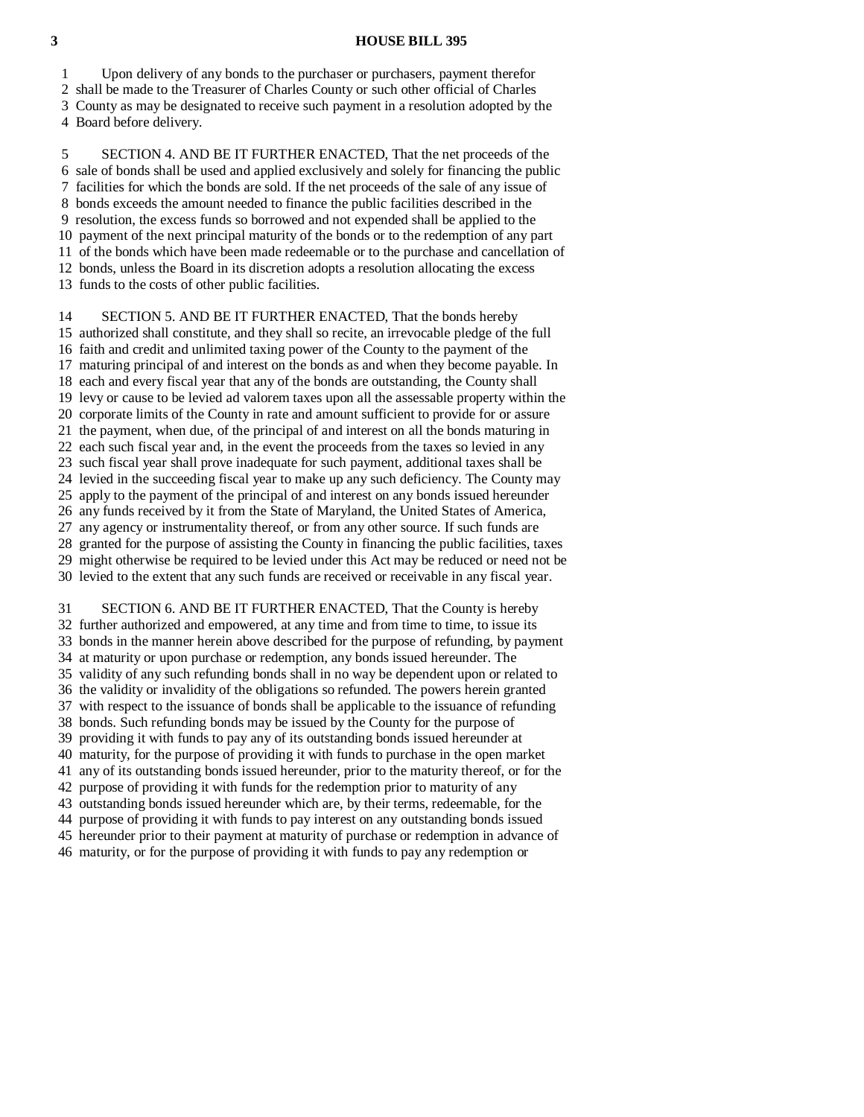### **3 HOUSE BILL 395**

1 Upon delivery of any bonds to the purchaser or purchasers, payment therefor

2 shall be made to the Treasurer of Charles County or such other official of Charles

3 County as may be designated to receive such payment in a resolution adopted by the

4 Board before delivery.

 5 SECTION 4. AND BE IT FURTHER ENACTED, That the net proceeds of the 6 sale of bonds shall be used and applied exclusively and solely for financing the public 7 facilities for which the bonds are sold. If the net proceeds of the sale of any issue of 8 bonds exceeds the amount needed to finance the public facilities described in the 9 resolution, the excess funds so borrowed and not expended shall be applied to the 10 payment of the next principal maturity of the bonds or to the redemption of any part 11 of the bonds which have been made redeemable or to the purchase and cancellation of 12 bonds, unless the Board in its discretion adopts a resolution allocating the excess 13 funds to the costs of other public facilities.

14 SECTION 5. AND BE IT FURTHER ENACTED, That the bonds hereby 15 authorized shall constitute, and they shall so recite, an irrevocable pledge of the full 16 faith and credit and unlimited taxing power of the County to the payment of the 17 maturing principal of and interest on the bonds as and when they become payable. In 18 each and every fiscal year that any of the bonds are outstanding, the County shall 19 levy or cause to be levied ad valorem taxes upon all the assessable property within the 20 corporate limits of the County in rate and amount sufficient to provide for or assure 21 the payment, when due, of the principal of and interest on all the bonds maturing in 22 each such fiscal year and, in the event the proceeds from the taxes so levied in any 23 such fiscal year shall prove inadequate for such payment, additional taxes shall be 24 levied in the succeeding fiscal year to make up any such deficiency. The County may 25 apply to the payment of the principal of and interest on any bonds issued hereunder 26 any funds received by it from the State of Maryland, the United States of America, 27 any agency or instrumentality thereof, or from any other source. If such funds are 28 granted for the purpose of assisting the County in financing the public facilities, taxes 29 might otherwise be required to be levied under this Act may be reduced or need not be 30 levied to the extent that any such funds are received or receivable in any fiscal year.

 31 SECTION 6. AND BE IT FURTHER ENACTED, That the County is hereby 32 further authorized and empowered, at any time and from time to time, to issue its 33 bonds in the manner herein above described for the purpose of refunding, by payment 34 at maturity or upon purchase or redemption, any bonds issued hereunder. The 35 validity of any such refunding bonds shall in no way be dependent upon or related to 36 the validity or invalidity of the obligations so refunded. The powers herein granted 37 with respect to the issuance of bonds shall be applicable to the issuance of refunding 38 bonds. Such refunding bonds may be issued by the County for the purpose of 39 providing it with funds to pay any of its outstanding bonds issued hereunder at 40 maturity, for the purpose of providing it with funds to purchase in the open market 41 any of its outstanding bonds issued hereunder, prior to the maturity thereof, or for the 42 purpose of providing it with funds for the redemption prior to maturity of any 43 outstanding bonds issued hereunder which are, by their terms, redeemable, for the 44 purpose of providing it with funds to pay interest on any outstanding bonds issued 45 hereunder prior to their payment at maturity of purchase or redemption in advance of 46 maturity, or for the purpose of providing it with funds to pay any redemption or